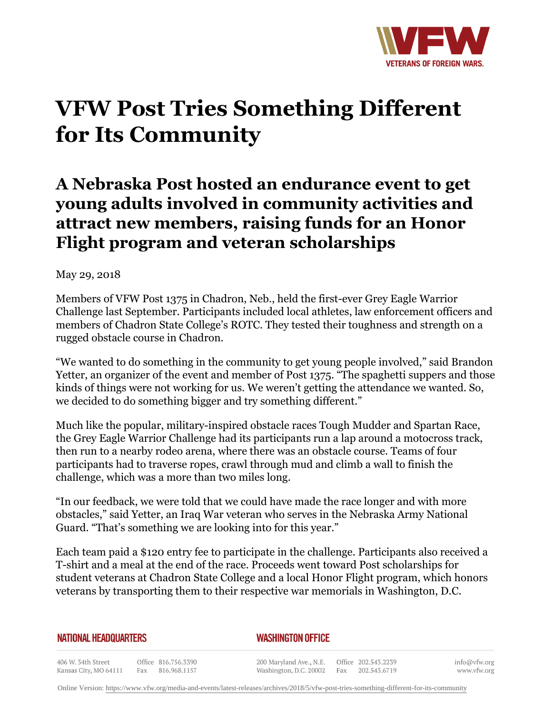

## **VFW Post Tries Something Different for Its Community**

## **A Nebraska Post hosted an endurance event to get young adults involved in community activities and attract new members, raising funds for an Honor Flight program and veteran scholarships**

May 29, 2018

Members of VFW Post 1375 in Chadron, Neb., held the first-ever Grey Eagle Warrior Challenge last September. Participants included local athletes, law enforcement officers and members of Chadron State College's ROTC. They tested their toughness and strength on a rugged obstacle course in Chadron.

"We wanted to do something in the community to get young people involved," said Brandon Yetter, an organizer of the event and member of Post 1375. "The spaghetti suppers and those kinds of things were not working for us. We weren't getting the attendance we wanted. So, we decided to do something bigger and try something different."

Much like the popular, military-inspired obstacle races Tough Mudder and Spartan Race, the Grey Eagle Warrior Challenge had its participants run a lap around a motocross track, then run to a nearby rodeo arena, where there was an obstacle course. Teams of four participants had to traverse ropes, crawl through mud and climb a wall to finish the challenge, which was a more than two miles long.

"In our feedback, we were told that we could have made the race longer and with more obstacles," said Yetter, an Iraq War veteran who serves in the Nebraska Army National Guard. "That's something we are looking into for this year."

Each team paid a \$120 entry fee to participate in the challenge. Participants also received a T-shirt and a meal at the end of the race. Proceeds went toward Post scholarships for student veterans at Chadron State College and a local Honor Flight program, which honors veterans by transporting them to their respective war memorials in Washington, D.C.

## **NATIONAL HEADQUARTERS**

## *WASHINGTON OFFICE*

406 W. 34th Street Office 816.756.3390 Kansas City, MO 64111 Fax 816.968.1157

200 Maryland Ave., N.E. Washington, D.C. 20002

Office 202.543.2239 Fax 202.543.6719 info@vfw.org www.vfw.org

Online Version:<https://www.vfw.org/media-and-events/latest-releases/archives/2018/5/vfw-post-tries-something-different-for-its-community>